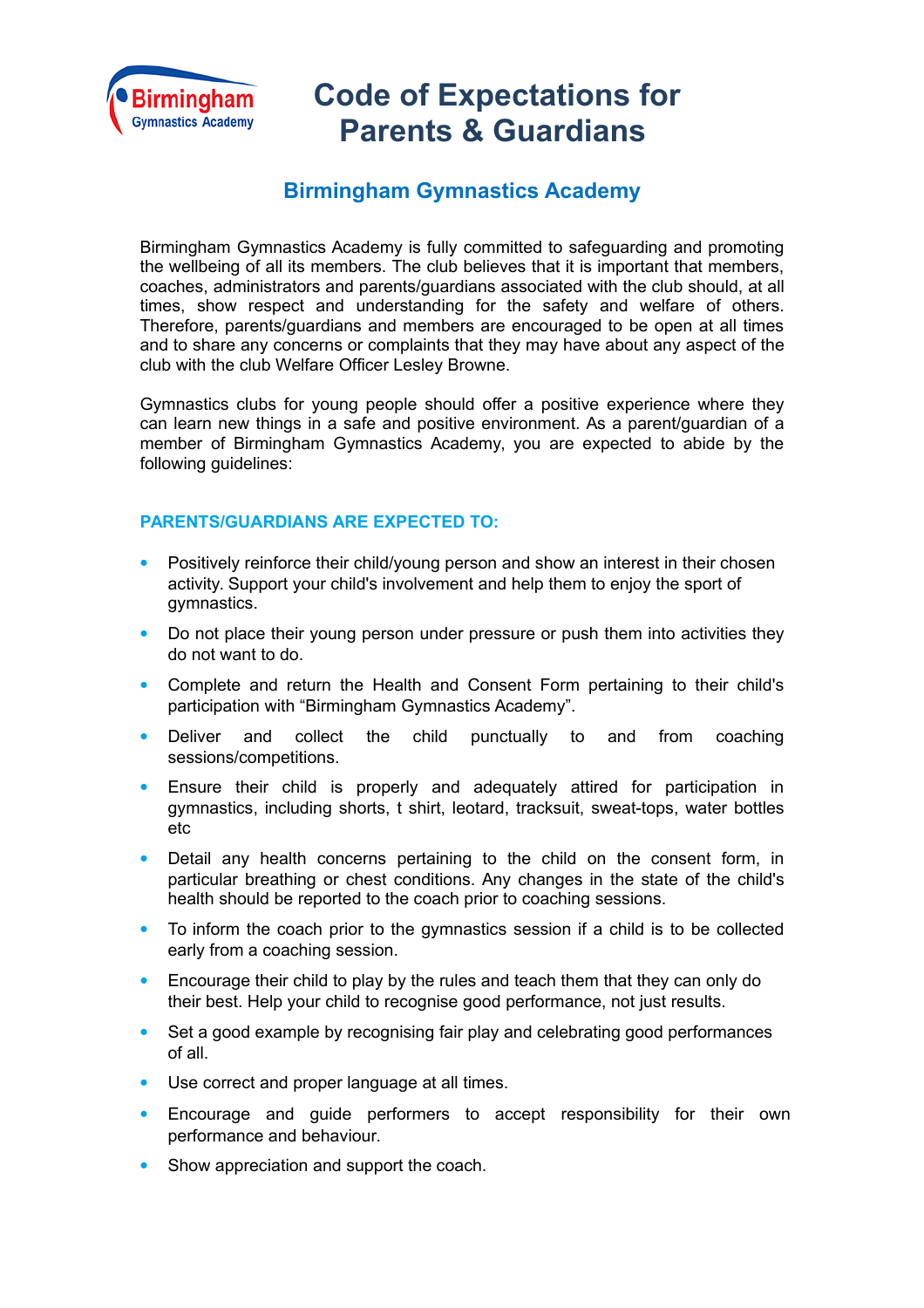

## **Code of Expectations for Parents & Guardians**

## **Birmingham Gymnastics Academy**

Birmingham Gymnastics Academy is fully committed to safeguarding and promoting the wellbeing of all its members. The club believes that it is important that members, coaches, administrators and parents/guardians associated with the club should, at all times, show respect and understanding for the safety and welfare of others. Therefore, parents/guardians and members are encouraged to be open at all times and to share any concerns or complaints that they may have about any aspect of the club with the club Welfare Officer Lesley Browne.

Gymnastics clubs for young people should offer a positive experience where they can learn new things in a safe and positive environment. As a parent/guardian of a member of Birmingham Gymnastics Academy, you are expected to abide by the following guidelines:

## **PARENTS/GUARDIANS ARE EXPECTED TO:**

- Positively reinforce their child/young person and show an interest in their chosen activity. Support your child's involvement and help them to enjoy the sport of gymnastics.
- Do not place their young person under pressure or push them into activities they do not want to do.
- Complete and return the Health and Consent Form pertaining to their child's participation with "Birmingham Gymnastics Academy".
- Deliver and collect the child punctually to and from coaching sessions/competitions.
- Ensure their child is properly and adequately attired for participation in gymnastics, including shorts, t shirt, leotard, tracksuit, sweat-tops, water bottles etc
- Detail any health concerns pertaining to the child on the consent form, in particular breathing or chest conditions. Any changes in the state of the child's health should be reported to the coach prior to coaching sessions.
- To inform the coach prior to the gymnastics session if a child is to be collected early from a coaching session.
- Encourage their child to play by the rules and teach them that they can only do their best. Help your child to recognise good performance, not just results.
- Set a good example by recognising fair play and celebrating good performances of all.
- Use correct and proper language at all times.
- Encourage and guide performers to accept responsibility for their own performance and behaviour.
- Show appreciation and support the coach.